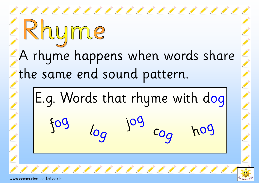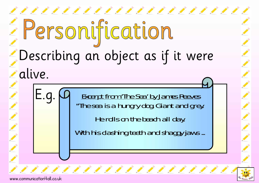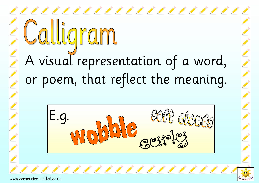# A visual representation of a word, or poem, that reflect the meaning.

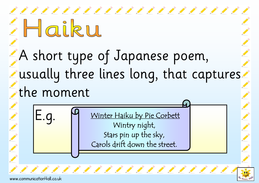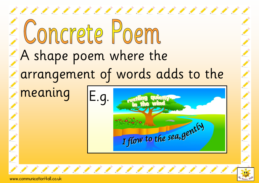## ,,,,,,,,,,,,,,,,,,,,,,,, Concrete Poem A shape poem where the arrangement of words adds to the meaning E.g. I flow to the sea, gently 111111111111111111

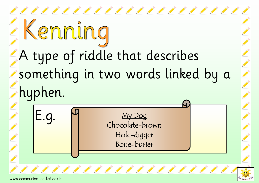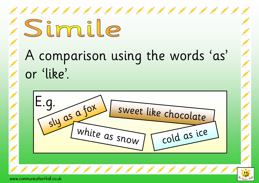#### Simil A comparison using the words 'as' or 'like'. E.g. sweet like chocolate sly as <sup>a</sup> fox white as snow cold as ice,,,,,,,,,,,,,,,,,,,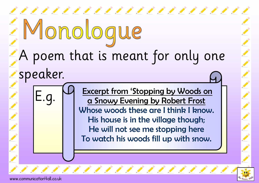

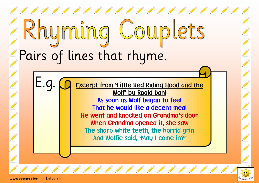### Couplets Pairs of lines that rhyme.

E.g. **CO** Excerpt from 'Little Red Riding Hood and the As soon as Wolf began to feel That he would like a decent meal He went and knocked on Grandma's door When Grandma opened it, she saw The sharp white teeth, the horrid grin

And Wolfie said, 'May I come in?'

11111111111111111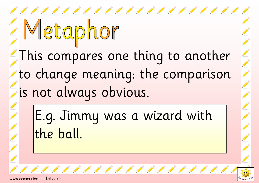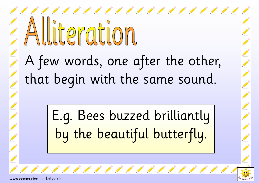## 111111111111111111111111 literation A few words, one after the other, that begin with the same sound.

E.g. Bees buzzed brilliantly by the beautiful butterfly.